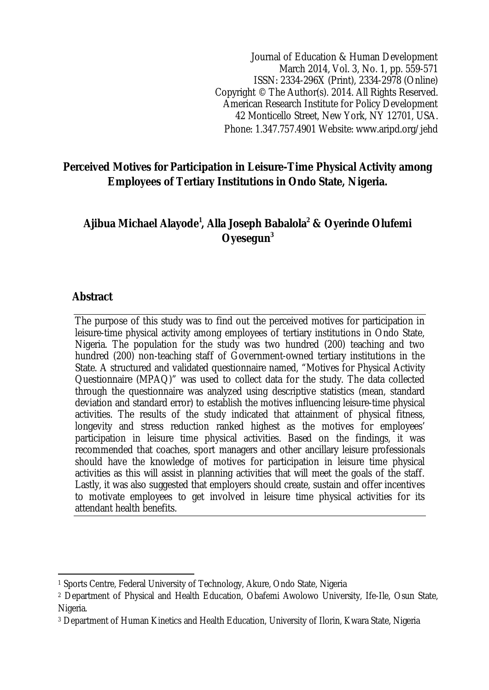Journal of Education & Human Development March 2014, Vol. 3, No. 1, pp. 559-571 ISSN: 2334-296X (Print), 2334-2978 (Online) Copyright © The Author(s). 2014. All Rights Reserved. American Research Institute for Policy Development 42 Monticello Street, New York, NY 12701, USA. Phone: 1.347.757.4901 Website: www.aripd.org/jehd

## **Perceived Motives for Participation in Leisure-Time Physical Activity among Employees of Tertiary Institutions in Ondo State, Nigeria.**

# **Ajibua Michael Alayode<sup>1</sup> , Alla Joseph Babalola<sup>2</sup> & Oyerinde Olufemi Oyesegun<sup>3</sup>**

### **Abstract**

The purpose of this study was to find out the perceived motives for participation in leisure-time physical activity among employees of tertiary institutions in Ondo State, Nigeria. The population for the study was two hundred (200) teaching and two hundred (200) non-teaching staff of Government-owned tertiary institutions in the State. A structured and validated questionnaire named, "Motives for Physical Activity Questionnaire (MPAQ)" was used to collect data for the study. The data collected through the questionnaire was analyzed using descriptive statistics (mean, standard deviation and standard error) to establish the motives influencing leisure-time physical activities. The results of the study indicated that attainment of physical fitness, longevity and stress reduction ranked highest as the motives for employees' participation in leisure time physical activities. Based on the findings, it was recommended that coaches, sport managers and other ancillary leisure professionals should have the knowledge of motives for participation in leisure time physical activities as this will assist in planning activities that will meet the goals of the staff. Lastly, it was also suggested that employers should create, sustain and offer incentives to motivate employees to get involved in leisure time physical activities for its attendant health benefits.

 $\overline{a}$ <sup>1</sup> Sports Centre, Federal University of Technology, Akure, Ondo State, Nigeria

<sup>2</sup> Department of Physical and Health Education, Obafemi Awolowo University, Ife-Ile, Osun State, Nigeria.

<sup>3</sup> Department of Human Kinetics and Health Education, University of Ilorin, Kwara State, Nigeria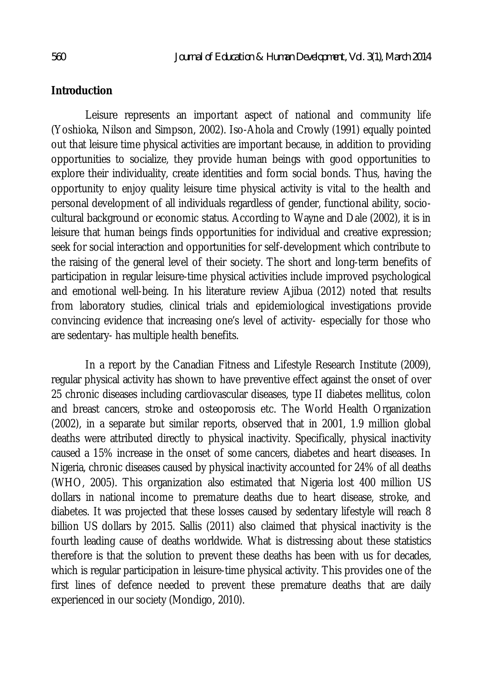#### **Introduction**

Leisure represents an important aspect of national and community life (Yoshioka, Nilson and Simpson, 2002). Iso-Ahola and Crowly (1991) equally pointed out that leisure time physical activities are important because, in addition to providing opportunities to socialize, they provide human beings with good opportunities to explore their individuality, create identities and form social bonds. Thus, having the opportunity to enjoy quality leisure time physical activity is vital to the health and personal development of all individuals regardless of gender, functional ability, sociocultural background or economic status. According to Wayne and Dale (2002), it is in leisure that human beings finds opportunities for individual and creative expression; seek for social interaction and opportunities for self-development which contribute to the raising of the general level of their society. The short and long-term benefits of participation in regular leisure-time physical activities include improved psychological and emotional well-being. In his literature review Ajibua (2012) noted that results from laboratory studies, clinical trials and epidemiological investigations provide convincing evidence that increasing one's level of activity- especially for those who are sedentary- has multiple health benefits.

In a report by the Canadian Fitness and Lifestyle Research Institute (2009), regular physical activity has shown to have preventive effect against the onset of over 25 chronic diseases including cardiovascular diseases, type II diabetes mellitus, colon and breast cancers, stroke and osteoporosis etc. The World Health Organization (2002), in a separate but similar reports, observed that in 2001, 1.9 million global deaths were attributed directly to physical inactivity. Specifically, physical inactivity caused a 15% increase in the onset of some cancers, diabetes and heart diseases. In Nigeria, chronic diseases caused by physical inactivity accounted for 24% of all deaths (WHO, 2005). This organization also estimated that Nigeria lost 400 million US dollars in national income to premature deaths due to heart disease, stroke, and diabetes. It was projected that these losses caused by sedentary lifestyle will reach 8 billion US dollars by 2015. Sallis (2011) also claimed that physical inactivity is the fourth leading cause of deaths worldwide. What is distressing about these statistics therefore is that the solution to prevent these deaths has been with us for decades, which is regular participation in leisure-time physical activity. This provides one of the first lines of defence needed to prevent these premature deaths that are daily experienced in our society (Mondigo, 2010).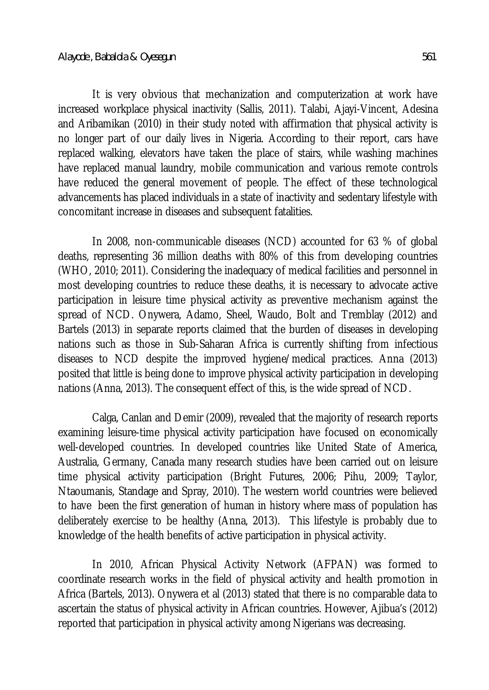It is very obvious that mechanization and computerization at work have increased workplace physical inactivity (Sallis, 2011). Talabi, Ajayi-Vincent, Adesina and Aribamikan (2010) in their study noted with affirmation that physical activity is no longer part of our daily lives in Nigeria. According to their report, cars have replaced walking, elevators have taken the place of stairs, while washing machines have replaced manual laundry, mobile communication and various remote controls have reduced the general movement of people. The effect of these technological advancements has placed individuals in a state of inactivity and sedentary lifestyle with concomitant increase in diseases and subsequent fatalities.

In 2008, non-communicable diseases (NCD) accounted for 63 % of global deaths, representing 36 million deaths with 80% of this from developing countries (WHO, 2010; 2011). Considering the inadequacy of medical facilities and personnel in most developing countries to reduce these deaths, it is necessary to advocate active participation in leisure time physical activity as preventive mechanism against the spread of NCD. Onywera, Adamo, Sheel, Waudo, Bolt and Tremblay (2012) and Bartels (2013) in separate reports claimed that the burden of diseases in developing nations such as those in Sub-Saharan Africa is currently shifting from infectious diseases to NCD despite the improved hygiene/medical practices. Anna (2013) posited that little is being done to improve physical activity participation in developing nations (Anna, 2013). The consequent effect of this, is the wide spread of NCD.

Calga, Canlan and Demir (2009), revealed that the majority of research reports examining leisure-time physical activity participation have focused on economically well-developed countries. In developed countries like United State of America, Australia, Germany, Canada many research studies have been carried out on leisure time physical activity participation (Bright Futures, 2006; Pihu, 2009; Taylor, Ntaoumanis, Standage and Spray, 2010). The western world countries were believed to have been the first generation of human in history where mass of population has deliberately exercise to be healthy (Anna, 2013). This lifestyle is probably due to knowledge of the health benefits of active participation in physical activity.

In 2010, African Physical Activity Network (AFPAN) was formed to coordinate research works in the field of physical activity and health promotion in Africa (Bartels, 2013). Onywera et al (2013) stated that there is no comparable data to ascertain the status of physical activity in African countries. However, Ajibua's (2012) reported that participation in physical activity among Nigerians was decreasing.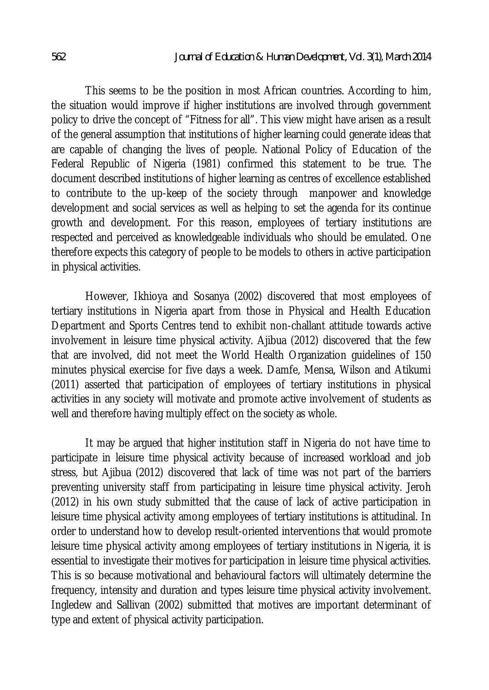This seems to be the position in most African countries. According to him, the situation would improve if higher institutions are involved through government policy to drive the concept of "Fitness for all". This view might have arisen as a result of the general assumption that institutions of higher learning could generate ideas that are capable of changing the lives of people. National Policy of Education of the Federal Republic of Nigeria (1981) confirmed this statement to be true. The document described institutions of higher learning as centres of excellence established to contribute to the up-keep of the society through manpower and knowledge development and social services as well as helping to set the agenda for its continue growth and development. For this reason, employees of tertiary institutions are respected and perceived as knowledgeable individuals who should be emulated. One therefore expects this category of people to be models to others in active participation in physical activities.

However, Ikhioya and Sosanya (2002) discovered that most employees of tertiary institutions in Nigeria apart from those in Physical and Health Education Department and Sports Centres tend to exhibit non-challant attitude towards active involvement in leisure time physical activity. Ajibua (2012) discovered that the few that are involved, did not meet the World Health Organization guidelines of 150 minutes physical exercise for five days a week. Damfe, Mensa, Wilson and Atikumi (2011) asserted that participation of employees of tertiary institutions in physical activities in any society will motivate and promote active involvement of students as well and therefore having multiply effect on the society as whole.

It may be argued that higher institution staff in Nigeria do not have time to participate in leisure time physical activity because of increased workload and job stress, but Ajibua (2012) discovered that lack of time was not part of the barriers preventing university staff from participating in leisure time physical activity. Jeroh (2012) in his own study submitted that the cause of lack of active participation in leisure time physical activity among employees of tertiary institutions is attitudinal. In order to understand how to develop result-oriented interventions that would promote leisure time physical activity among employees of tertiary institutions in Nigeria, it is essential to investigate their motives for participation in leisure time physical activities. This is so because motivational and behavioural factors will ultimately determine the frequency, intensity and duration and types leisure time physical activity involvement. Ingledew and Sallivan (2002) submitted that motives are important determinant of type and extent of physical activity participation.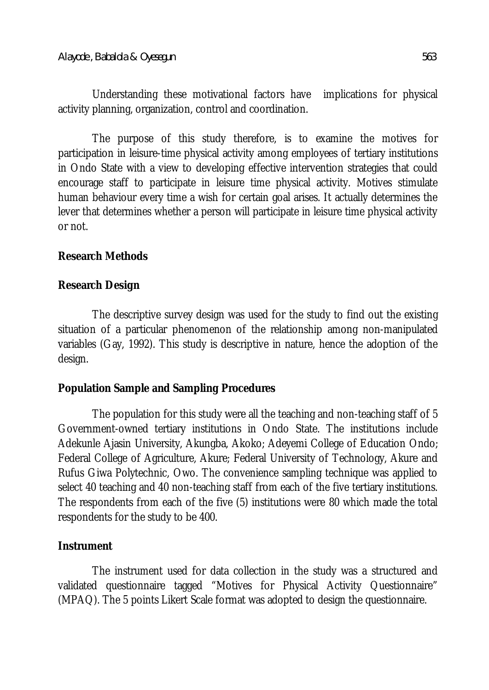Understanding these motivational factors have implications for physical activity planning, organization, control and coordination.

The purpose of this study therefore, is to examine the motives for participation in leisure-time physical activity among employees of tertiary institutions in Ondo State with a view to developing effective intervention strategies that could encourage staff to participate in leisure time physical activity. Motives stimulate human behaviour every time a wish for certain goal arises. It actually determines the lever that determines whether a person will participate in leisure time physical activity or not.

#### **Research Methods**

#### **Research Design**

The descriptive survey design was used for the study to find out the existing situation of a particular phenomenon of the relationship among non-manipulated variables (Gay, 1992). This study is descriptive in nature, hence the adoption of the design.

#### **Population Sample and Sampling Procedures**

The population for this study were all the teaching and non-teaching staff of 5 Government-owned tertiary institutions in Ondo State. The institutions include Adekunle Ajasin University, Akungba, Akoko; Adeyemi College of Education Ondo; Federal College of Agriculture, Akure; Federal University of Technology, Akure and Rufus Giwa Polytechnic, Owo. The convenience sampling technique was applied to select 40 teaching and 40 non-teaching staff from each of the five tertiary institutions. The respondents from each of the five (5) institutions were 80 which made the total respondents for the study to be 400.

### **Instrument**

The instrument used for data collection in the study was a structured and validated questionnaire tagged "Motives for Physical Activity Questionnaire" (MPAQ). The 5 points Likert Scale format was adopted to design the questionnaire.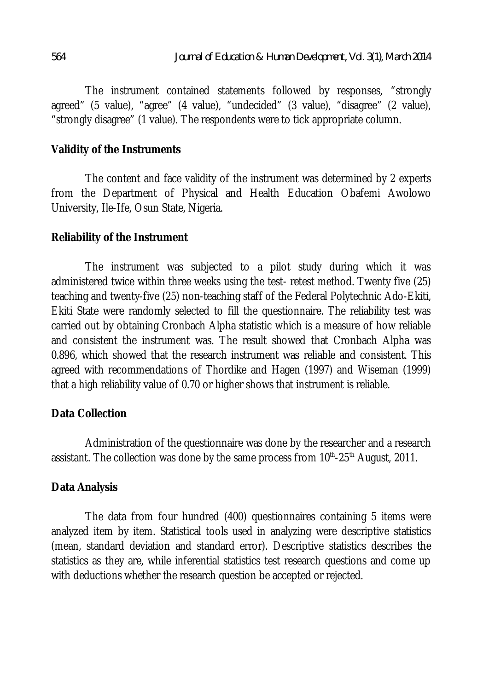The instrument contained statements followed by responses, "strongly agreed" (5 value), "agree" (4 value), "undecided" (3 value), "disagree" (2 value), "strongly disagree" (1 value). The respondents were to tick appropriate column.

#### **Validity of the Instruments**

The content and face validity of the instrument was determined by 2 experts from the Department of Physical and Health Education Obafemi Awolowo University, Ile-Ife, Osun State, Nigeria.

#### **Reliability of the Instrument**

The instrument was subjected to a pilot study during which it was administered twice within three weeks using the test- retest method. Twenty five (25) teaching and twenty-five (25) non-teaching staff of the Federal Polytechnic Ado-Ekiti, Ekiti State were randomly selected to fill the questionnaire. The reliability test was carried out by obtaining Cronbach Alpha statistic which is a measure of how reliable and consistent the instrument was. The result showed that Cronbach Alpha was 0.896, which showed that the research instrument was reliable and consistent. This agreed with recommendations of Thordike and Hagen (1997) and Wiseman (1999) that a high reliability value of 0.70 or higher shows that instrument is reliable.

### **Data Collection**

Administration of the questionnaire was done by the researcher and a research assistant. The collection was done by the same process from 10<sup>th</sup>-25<sup>th</sup> August, 2011.

### **Data Analysis**

The data from four hundred (400) questionnaires containing 5 items were analyzed item by item. Statistical tools used in analyzing were descriptive statistics (mean, standard deviation and standard error). Descriptive statistics describes the statistics as they are, while inferential statistics test research questions and come up with deductions whether the research question be accepted or rejected.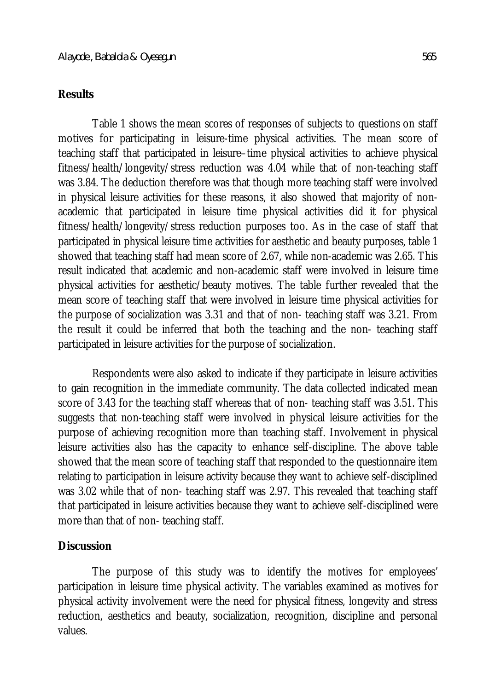#### **Results**

Table 1 shows the mean scores of responses of subjects to questions on staff motives for participating in leisure-time physical activities. The mean score of teaching staff that participated in leisure–time physical activities to achieve physical fitness/health/longevity/stress reduction was 4.04 while that of non-teaching staff was 3.84. The deduction therefore was that though more teaching staff were involved in physical leisure activities for these reasons, it also showed that majority of nonacademic that participated in leisure time physical activities did it for physical fitness/health/longevity/stress reduction purposes too. As in the case of staff that participated in physical leisure time activities for aesthetic and beauty purposes, table 1 showed that teaching staff had mean score of 2.67, while non-academic was 2.65. This result indicated that academic and non-academic staff were involved in leisure time physical activities for aesthetic/beauty motives. The table further revealed that the mean score of teaching staff that were involved in leisure time physical activities for the purpose of socialization was 3.31 and that of non- teaching staff was 3.21. From the result it could be inferred that both the teaching and the non- teaching staff participated in leisure activities for the purpose of socialization.

Respondents were also asked to indicate if they participate in leisure activities to gain recognition in the immediate community. The data collected indicated mean score of 3.43 for the teaching staff whereas that of non- teaching staff was 3.51. This suggests that non-teaching staff were involved in physical leisure activities for the purpose of achieving recognition more than teaching staff. Involvement in physical leisure activities also has the capacity to enhance self-discipline. The above table showed that the mean score of teaching staff that responded to the questionnaire item relating to participation in leisure activity because they want to achieve self-disciplined was 3.02 while that of non- teaching staff was 2.97. This revealed that teaching staff that participated in leisure activities because they want to achieve self-disciplined were more than that of non- teaching staff.

#### **Discussion**

The purpose of this study was to identify the motives for employees' participation in leisure time physical activity. The variables examined as motives for physical activity involvement were the need for physical fitness, longevity and stress reduction, aesthetics and beauty, socialization, recognition, discipline and personal values.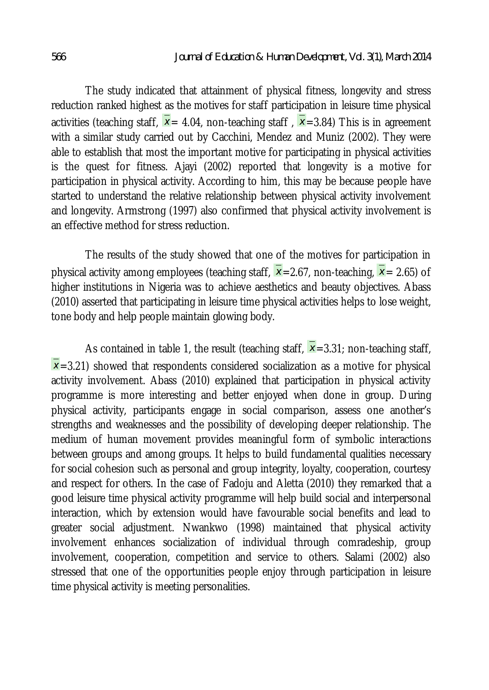The study indicated that attainment of physical fitness, longevity and stress reduction ranked highest as the motives for staff participation in leisure time physical activities (teaching staff,  $\bar{x}$  = 4.04, non-teaching staff,  $\bar{x}$  = 3.84) This is in agreement with a similar study carried out by Cacchini, Mendez and Muniz (2002). They were able to establish that most the important motive for participating in physical activities is the quest for fitness. Ajayi (2002) reported that longevity is a motive for participation in physical activity. According to him, this may be because people have started to understand the relative relationship between physical activity involvement and longevity. Armstrong (1997) also confirmed that physical activity involvement is an effective method for stress reduction.

The results of the study showed that one of the motives for participation in physical activity among employees (teaching staff,  $x = 2.67$ , non-teaching,  $x = 2.65$ ) of higher institutions in Nigeria was to achieve aesthetics and beauty objectives. Abass (2010) asserted that participating in leisure time physical activities helps to lose weight, tone body and help people maintain glowing body.

As contained in table 1, the result (teaching staff,  $\bar{x}$  = 3.31; non-teaching staff,  $x=3.21$ ) showed that respondents considered socialization as a motive for physical activity involvement. Abass (2010) explained that participation in physical activity programme is more interesting and better enjoyed when done in group. During physical activity, participants engage in social comparison, assess one another's strengths and weaknesses and the possibility of developing deeper relationship. The medium of human movement provides meaningful form of symbolic interactions between groups and among groups. It helps to build fundamental qualities necessary for social cohesion such as personal and group integrity, loyalty, cooperation, courtesy and respect for others. In the case of Fadoju and Aletta (2010) they remarked that a good leisure time physical activity programme will help build social and interpersonal interaction, which by extension would have favourable social benefits and lead to greater social adjustment. Nwankwo (1998) maintained that physical activity involvement enhances socialization of individual through comradeship, group involvement, cooperation, competition and service to others. Salami (2002) also stressed that one of the opportunities people enjoy through participation in leisure time physical activity is meeting personalities.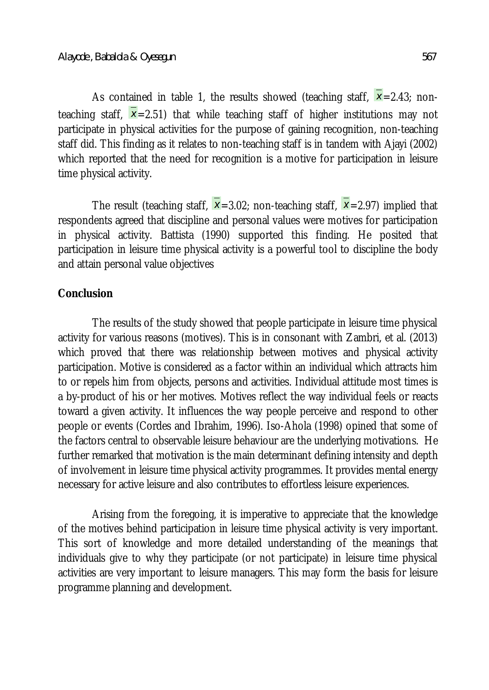As contained in table 1, the results showed (teaching staff,  $x=2.43$ ; nonteaching staff,  $x = 2.51$ ) that while teaching staff of higher institutions may not participate in physical activities for the purpose of gaining recognition, non-teaching staff did. This finding as it relates to non-teaching staff is in tandem with Ajayi (2002) which reported that the need for recognition is a motive for participation in leisure time physical activity.

The result (teaching staff,  $\bar{x}$  = 3.02; non-teaching staff,  $\bar{x}$  = 2.97) implied that respondents agreed that discipline and personal values were motives for participation in physical activity. Battista (1990) supported this finding. He posited that participation in leisure time physical activity is a powerful tool to discipline the body and attain personal value objectives

#### **Conclusion**

The results of the study showed that people participate in leisure time physical activity for various reasons (motives). This is in consonant with Zambri, et al. (2013) which proved that there was relationship between motives and physical activity participation. Motive is considered as a factor within an individual which attracts him to or repels him from objects, persons and activities. Individual attitude most times is a by-product of his or her motives. Motives reflect the way individual feels or reacts toward a given activity. It influences the way people perceive and respond to other people or events (Cordes and Ibrahim, 1996). Iso-Ahola (1998) opined that some of the factors central to observable leisure behaviour are the underlying motivations. He further remarked that motivation is the main determinant defining intensity and depth of involvement in leisure time physical activity programmes. It provides mental energy necessary for active leisure and also contributes to effortless leisure experiences.

Arising from the foregoing, it is imperative to appreciate that the knowledge of the motives behind participation in leisure time physical activity is very important. This sort of knowledge and more detailed understanding of the meanings that individuals give to why they participate (or not participate) in leisure time physical activities are very important to leisure managers. This may form the basis for leisure programme planning and development.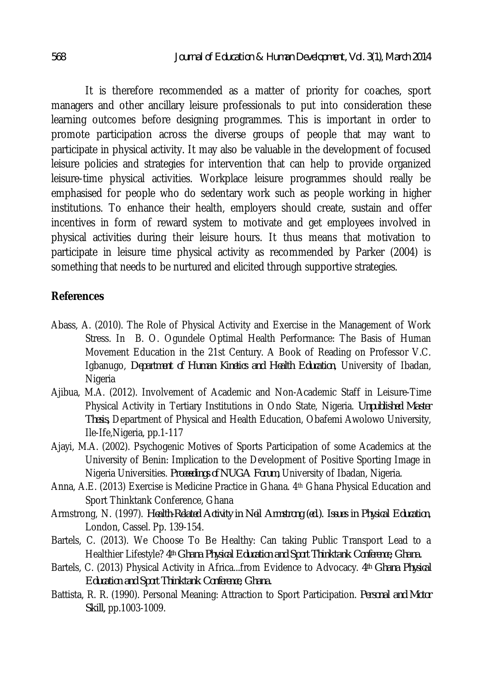It is therefore recommended as a matter of priority for coaches, sport managers and other ancillary leisure professionals to put into consideration these learning outcomes before designing programmes. This is important in order to promote participation across the diverse groups of people that may want to participate in physical activity. It may also be valuable in the development of focused leisure policies and strategies for intervention that can help to provide organized leisure-time physical activities. Workplace leisure programmes should really be emphasised for people who do sedentary work such as people working in higher institutions. To enhance their health, employers should create, sustain and offer incentives in form of reward system to motivate and get employees involved in physical activities during their leisure hours. It thus means that motivation to participate in leisure time physical activity as recommended by Parker (2004) is something that needs to be nurtured and elicited through supportive strategies.

#### **References**

- Abass, A. (2010). The Role of Physical Activity and Exercise in the Management of Work Stress. In B. O. Ogundele Optimal Health Performance: The Basis of Human Movement Education in the 21st Century. A Book of Reading on Professor V.C. Igbanugo, *Department of Human Kinetics and Health Education*, University of Ibadan, Nigeria
- Ajibua, M.A. (2012). Involvement of Academic and Non-Academic Staff in Leisure-Time Physical Activity in Tertiary Institutions in Ondo State, Nigeria. *Unpublished Master Thesis,* Department of Physical and Health Education, Obafemi Awolowo University, Ile-Ife,Nigeria, pp.1-117
- Ajayi, M.A. (2002). Psychogenic Motives of Sports Participation of some Academics at the University of Benin: Implication to the Development of Positive Sporting Image in Nigeria Universities. *Proceedings of NUGA Forum,* University of Ibadan, Nigeria.
- Anna, A.E. (2013) Exercise is Medicine Practice in Ghana. 4th Ghana Physical Education and Sport Thinktank Conference, Ghana
- Armstrong, N. (1997). *Health-Related Activity in Neil Armstrong (ed.). Issues in Physical Education*, London, Cassel. Pp. 139-154.
- Bartels, C. (2013). We Choose To Be Healthy: Can taking Public Transport Lead to a Healthier Lifestyle? *4th Ghana Physical Education and Sport Thinktank Conference, Ghana.*
- Bartels, C. (2013) Physical Activity in Africa...from Evidence to Advocacy. *4th Ghana Physical Education and Sport Thinktank Conference, Ghana.*
- Battista, R. R. (1990). Personal Meaning: Attraction to Sport Participation. *Personal and Motor Skill,* pp.1003-1009.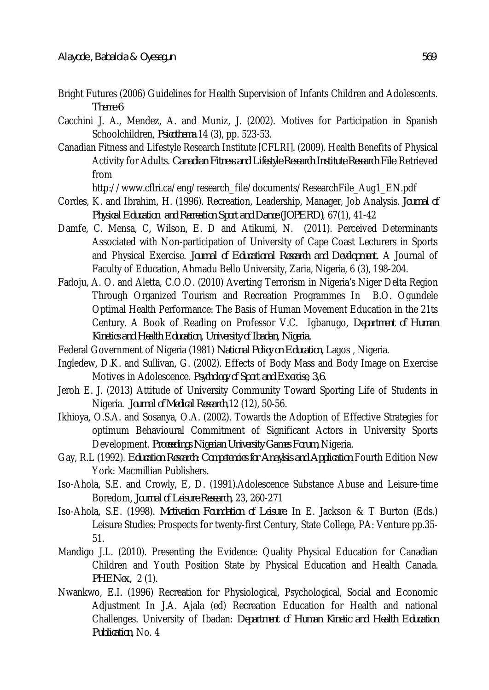- Bright Futures (2006) Guidelines for Health Supervision of Infants Children and Adolescents. *Theme 6*
- Cacchini J. A., Mendez, A. and Muniz, J. (2002). Motives for Participation in Spanish Schoolchildren, *Psicothema*.14 (3), pp. 523-53.
- Canadian Fitness and Lifestyle Research Institute [CFLRI]. (2009). Health Benefits of Physical Activity for Adults. *Canadian Fitness and Lifestyle Research Institute Research File*. Retrieved from

http://www.cflri.ca/eng/research\_file/documents/ResearchFile\_Aug1\_EN.pdf

- Cordes, K. and Ibrahim, H. (1996). Recreation, Leadership, Manager, Job Analysis. *Journal of Physical Education and Recreation Sport and Dance (JOPERD)*, 67(1), 41-42
- Damfe, C. Mensa, C, Wilson, E. D and Atikumi, N. (2011). Perceived Determinants Associated with Non-participation of University of Cape Coast Lecturers in Sports and Physical Exercise. *Journal of Educational Research and Development.* A Journal of Faculty of Education, Ahmadu Bello University, Zaria, Nigeria, 6 (3), 198-204.
- Fadoju, A. O. and Aletta, C.O.O. (2010) Averting Terrorism in Nigeria's Niger Delta Region Through Organized Tourism and Recreation Programmes In B.O. Ogundele Optimal Health Performance: The Basis of Human Movement Education in the 21ts Century. A Book of Reading on Professor V.C. Igbanugo, *Department of Human Kinetics and Health Education, University of Ibadan, Nigeria.*

Federal Government of Nigeria (1981) *National Policy on Education,* Lagos , Nigeria.

- Ingledew, D.K. and Sullivan, G. (2002). Effects of Body Mass and Body Image on Exercise Motives in Adolescence. *Psychology of Sport and Exercise, 3,6.*
- Jeroh E. J. (2013) Attitude of University Community Toward Sporting Life of Students in Nigeria. *Journal of Medical Research,*12 (12), 50-56.
- Ikhioya, O.S.A. and Sosanya, O.A. (2002). Towards the Adoption of Effective Strategies for optimum Behavioural Commitment of Significant Actors in University Sports Development. *Proceedings Nigerian University Games Forum,* Nigeria*.*
- Gay, R.L (1992). *Education Research: Competencies for Anaylsis and Application* Fourth Edition New York: Macmillian Publishers.
- Iso-Ahola, S.E. and Crowly, E, D. (1991).Adolescence Substance Abuse and Leisure-time Boredom, *Journal of Leisure Research,* 23, 260-271
- Iso-Ahola, S.E. (1998). *Motivation Foundation of Leisure.* In E. Jackson & T Burton (Eds.) Leisure Studies: Prospects for twenty-first Century, State College, PA: Venture pp.35- 51.
- Mandigo J.L. (2010). Presenting the Evidence: Quality Physical Education for Canadian Children and Youth Position State by Physical Education and Health Canada. *PHENex,* 2 (1).
- Nwankwo, E.I. (1996) Recreation for Physiological, Psychological, Social and Economic Adjustment In J.A. Ajala (ed) Recreation Education for Health and national Challenges. University of Ibadan: *Department of Human Kinetic and Health Education Publication*, No. 4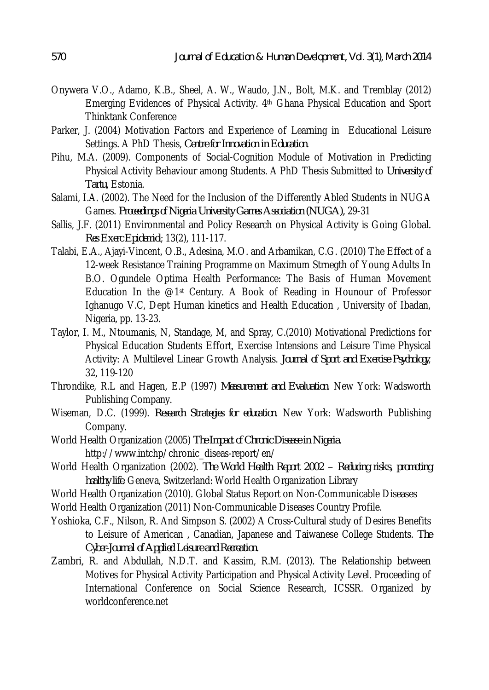- Onywera V.O., Adamo, K.B., Sheel, A. W., Waudo, J.N., Bolt, M.K. and Tremblay (2012) Emerging Evidences of Physical Activity. 4<sup>th</sup> Ghana Physical Education and Sport Thinktank Conference
- Parker, J. (2004) Motivation Factors and Experience of Learning in Educational Leisure Settings. A PhD Thesis, *Centre for Innovation in Education*.
- Pihu, M.A. (2009). Components of Social-Cognition Module of Motivation in Predicting Physical Activity Behaviour among Students. A PhD Thesis Submitted to *University of Tartu,* Estonia.
- Salami, I.A. (2002). The Need for the Inclusion of the Differently Abled Students in NUGA Games. *Proceedings of Nigeria University Games Association (NUGA),* 29-31
- Sallis, J.F. (2011) Environmental and Policy Research on Physical Activity is Going Global. *Res Exerc Epidemiol*; 13(2), 111-117.
- Talabi, E.A., Ajayi-Vincent, O.B., Adesina, M.O. and Arbamikan, C.G. (2010) The Effect of a 12-week Resistance Training Programme on Maximum Strnegth of Young Adults In B.O. Ogundele Optima Health Performance: The Basis of Human Movement Education In the @1st Century. A Book of Reading in Hounour of Professor Ighanugo V.C, Dept Human kinetics and Health Education , University of Ibadan, Nigeria, pp. 13-23.
- Taylor, I. M., Ntoumanis, N, Standage, M, and Spray, C.(2010) Motivational Predictions for Physical Education Students Effort, Exercise Intensions and Leisure Time Physical Activity: A Multilevel Linear Growth Analysis. *Journal of Sport and Exercise Psychology*, 32, 119-120
- Throndike, R.L and Hagen, E.P (1997) *Measurement and Evaluation*. New York: Wadsworth Publishing Company.
- Wiseman, D.C. (1999). *Research Strategies for education*. New York: Wadsworth Publishing Company.
- World Health Organization (2005) *The Impact of Chronic Disease in Nigeria*. http://www.intchp/chronic\_diseas-report/en/
- World Health Organization (2002). *The World Health Report 2002 – Reducing risks, promoting healthy life*. Geneva, Switzerland: World Health Organization Library
- World Health Organization (2010). Global Status Report on Non-Communicable Diseases
- World Health Organization (2011) Non-Communicable Diseases Country Profile.
- Yoshioka, C.F., Nilson, R. And Simpson S. (2002) A Cross-Cultural study of Desires Benefits to Leisure of American , Canadian, Japanese and Taiwanese College Students. *The Cyber-Journal of Applied Leisure and Recreation.*
- Zambri, R. and Abdullah, N.D.T. and Kassim, R.M. (2013). The Relationship between Motives for Physical Activity Participation and Physical Activity Level. Proceeding of International Conference on Social Science Research, ICSSR. Organized by worldconference.net